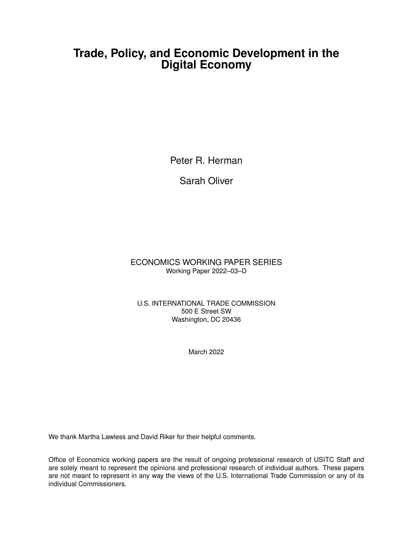## **Trade, Policy, and Economic Development in the Digital Economy**

Peter R. Herman

Sarah Oliver

ECONOMICS WORKING PAPER SERIES Working Paper 2022–03–D

U.S. INTERNATIONAL TRADE COMMISSION 500 E Street SW Washington, DC 20436

March 2022

We thank Martha Lawless and David Riker for their helpful comments.

Office of Economics working papers are the result of ongoing professional research of USITC Staff and are solely meant to represent the opinions and professional research of individual authors. These papers are not meant to represent in any way the views of the U.S. International Trade Commission or any of its individual Commissioners.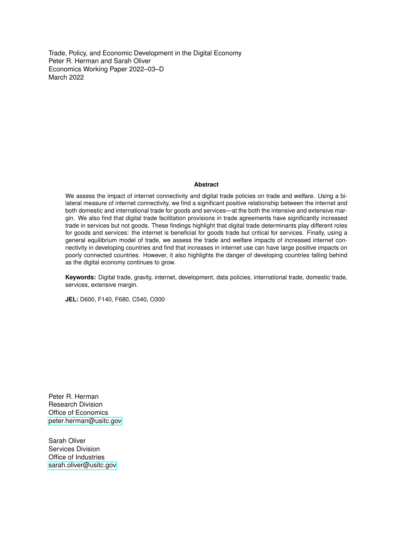Trade, Policy, and Economic Development in the Digital Economy Peter R. Herman and Sarah Oliver Economics Working Paper 2022–03–D March 2022

#### **Abstract**

We assess the impact of internet connectivity and digital trade policies on trade and welfare. Using a bilateral measure of internet connectivity, we find a significant positive relationship between the internet and both domestic and international trade for goods and services—at the both the intensive and extensive margin. We also find that digital trade facilitation provisions in trade agreements have significantly increased trade in services but not goods. These findings highlight that digital trade determinants play different roles for goods and services: the internet is beneficial for goods trade but critical for services. Finally, using a general equilibrium model of trade, we assess the trade and welfare impacts of increased internet connectivity in developing countries and find that increases in internet use can have large positive impacts on poorly connected countries. However, it also highlights the danger of developing countries falling behind as the digital economy continues to grow.

**Keywords:** Digital trade, gravity, internet, development, data policies, international trade, domestic trade, services, extensive margin.

**JEL:** D600, F140, F680, C540, O300

Peter R. Herman Research Division Office of Economics [peter.herman@usitc.gov](mailto:saad.ahmad@usitc.gov)

Sarah Oliver Services Division Office of Industries [sarah.oliver@usitc.gov](mailto:sarah.oliver@usitc.gov)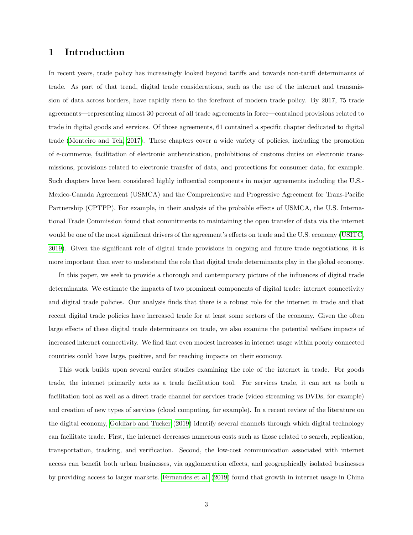## 1 Introduction

In recent years, trade policy has increasingly looked beyond tariffs and towards non-tariff determinants of trade. As part of that trend, digital trade considerations, such as the use of the internet and transmission of data across borders, have rapidly risen to the forefront of modern trade policy. By 2017, 75 trade agreements—representing almost 30 percent of all trade agreements in force—contained provisions related to trade in digital goods and services. Of those agreements, 61 contained a specific chapter dedicated to digital trade [\(Monteiro and Teh, 2017\)](#page-25-0). These chapters cover a wide variety of policies, including the promotion of e-commerce, facilitation of electronic authentication, prohibitions of customs duties on electronic transmissions, provisions related to electronic transfer of data, and protections for consumer data, for example. Such chapters have been considered highly influential components in major agreements including the U.S.- Mexico-Canada Agreement (USMCA) and the Comprehensive and Progressive Agreement for Trans-Pacific Partnership (CPTPP). For example, in their analysis of the probable effects of USMCA, the U.S. International Trade Commission found that commitments to maintaining the open transfer of data via the internet would be one of the most significant drivers of the agreement's effects on trade and the U.S. economy [\(USITC,](#page-26-0) [2019\)](#page-26-0). Given the significant role of digital trade provisions in ongoing and future trade negotiations, it is more important than ever to understand the role that digital trade determinants play in the global economy.

In this paper, we seek to provide a thorough and contemporary picture of the influences of digital trade determinants. We estimate the impacts of two prominent components of digital trade: internet connectivity and digital trade policies. Our analysis finds that there is a robust role for the internet in trade and that recent digital trade policies have increased trade for at least some sectors of the economy. Given the often large effects of these digital trade determinants on trade, we also examine the potential welfare impacts of increased internet connectivity. We find that even modest increases in internet usage within poorly connected countries could have large, positive, and far reaching impacts on their economy.

This work builds upon several earlier studies examining the role of the internet in trade. For goods trade, the internet primarily acts as a trade facilitation tool. For services trade, it can act as both a facilitation tool as well as a direct trade channel for services trade (video streaming vs DVDs, for example) and creation of new types of services (cloud computing, for example). In a recent review of the literature on the digital economy, [Goldfarb and Tucker](#page-25-1) [\(2019\)](#page-25-1) identify several channels through which digital technology can facilitate trade. First, the internet decreases numerous costs such as those related to search, replication, transportation, tracking, and verification. Second, the low-cost communication associated with internet access can benefit both urban businesses, via agglomeration effects, and geographically isolated businesses by providing access to larger markets. [Fernandes et al.](#page-24-0) [\(2019\)](#page-24-0) found that growth in internet usage in China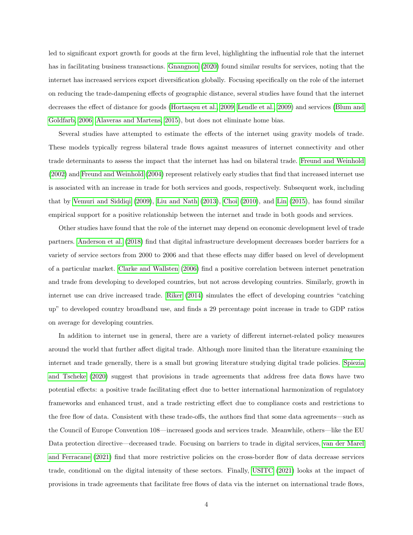led to significant export growth for goods at the firm level, highlighting the influential role that the internet has in facilitating business transactions. [Gnangnon](#page-25-2) [\(2020\)](#page-25-2) found similar results for services, noting that the internet has increased services export diversification globally. Focusing specifically on the role of the internet on reducing the trade-dampening effects of geographic distance, several studies have found that the internet decreases the effect of distance for goods (Hortasçsu et al., 2009; [Lendle et al., 2009\)](#page-25-4) and services [\(Blum and](#page-24-1) [Goldfarb, 2006;](#page-24-1) [Alaveras and Martens, 2015\)](#page-23-0), but does not eliminate home bias.

Several studies have attempted to estimate the effects of the internet using gravity models of trade. These models typically regress bilateral trade flows against measures of internet connectivity and other trade determinants to assess the impact that the internet has had on bilateral trade. [Freund and Weinhold](#page-24-2) [\(2002\)](#page-24-2) and [Freund and Weinhold](#page-24-3) [\(2004\)](#page-24-3) represent relatively early studies that find that increased internet use is associated with an increase in trade for both services and goods, respectively. Subsequent work, including that by [Vemuri and Siddiqi](#page-26-1) [\(2009\)](#page-26-1), [Liu and Nath](#page-25-5) [\(2013\)](#page-25-5), [Choi](#page-24-4) [\(2010\)](#page-24-4), and [Lin](#page-25-6) [\(2015\)](#page-25-6), has found similar empirical support for a positive relationship between the internet and trade in both goods and services.

Other studies have found that the role of the internet may depend on economic development level of trade partners. [Anderson et al.](#page-23-1) [\(2018\)](#page-23-1) find that digital infrastructure development decreases border barriers for a variety of service sectors from 2000 to 2006 and that these effects may differ based on level of development of a particular market. [Clarke and Wallsten](#page-24-5) [\(2006\)](#page-24-5) find a positive correlation between internet penetration and trade from developing to developed countries, but not across developing countries. Similarly, growth in internet use can drive increased trade. [Riker](#page-25-7) [\(2014\)](#page-25-7) simulates the effect of developing countries "catching up" to developed country broadband use, and finds a 29 percentage point increase in trade to GDP ratios on average for developing countries.

In addition to internet use in general, there are a variety of different internet-related policy measures around the world that further affect digital trade. Although more limited than the literature examining the internet and trade generally, there is a small but growing literature studying digital trade policies. [Spiezia](#page-26-2) [and Tscheke](#page-26-2) [\(2020\)](#page-26-2) suggest that provisions in trade agreements that address free data flows have two potential effects: a positive trade facilitating effect due to better international harmonization of regulatory frameworks and enhanced trust, and a trade restricting effect due to compliance costs and restrictions to the free flow of data. Consistent with these trade-offs, the authors find that some data agreements—such as the Council of Europe Convention 108—increased goods and services trade. Meanwhile, others—like the EU Data protection directive—decreased trade. Focusing on barriers to trade in digital services, [van der Marel](#page-26-3) [and Ferracane](#page-26-3) [\(2021\)](#page-26-3) find that more restrictive policies on the cross-border flow of data decrease services trade, conditional on the digital intensity of these sectors. Finally, [USITC](#page-26-4) [\(2021\)](#page-26-4) looks at the impact of provisions in trade agreements that facilitate free flows of data via the internet on international trade flows,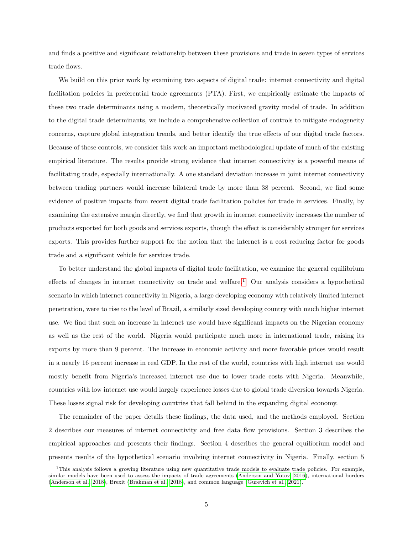and finds a positive and significant relationship between these provisions and trade in seven types of services trade flows.

We build on this prior work by examining two aspects of digital trade: internet connectivity and digital facilitation policies in preferential trade agreements (PTA). First, we empirically estimate the impacts of these two trade determinants using a modern, theoretically motivated gravity model of trade. In addition to the digital trade determinants, we include a comprehensive collection of controls to mitigate endogeneity concerns, capture global integration trends, and better identify the true effects of our digital trade factors. Because of these controls, we consider this work an important methodological update of much of the existing empirical literature. The results provide strong evidence that internet connectivity is a powerful means of facilitating trade, especially internationally. A one standard deviation increase in joint internet connectivity between trading partners would increase bilateral trade by more than 38 percent. Second, we find some evidence of positive impacts from recent digital trade facilitation policies for trade in services. Finally, by examining the extensive margin directly, we find that growth in internet connectivity increases the number of products exported for both goods and services exports, though the effect is considerably stronger for services exports. This provides further support for the notion that the internet is a cost reducing factor for goods trade and a significant vehicle for services trade.

To better understand the global impacts of digital trade facilitation, we examine the general equilibrium effects of changes in internet connectivity on trade and welfare.[1](#page-4-0) Our analysis considers a hypothetical scenario in which internet connectivity in Nigeria, a large developing economy with relatively limited internet penetration, were to rise to the level of Brazil, a similarly sized developing country with much higher internet use. We find that such an increase in internet use would have significant impacts on the Nigerian economy as well as the rest of the world. Nigeria would participate much more in international trade, raising its exports by more than 9 percent. The increase in economic activity and more favorable prices would result in a nearly 16 percent increase in real GDP. In the rest of the world, countries with high internet use would mostly benefit from Nigeria's increased internet use due to lower trade costs with Nigeria. Meanwhile, countries with low internet use would largely experience losses due to global trade diversion towards Nigeria. These losses signal risk for developing countries that fall behind in the expanding digital economy.

The remainder of the paper details these findings, the data used, and the methods employed. Section 2 describes our measures of internet connectivity and free data flow provisions. Section 3 describes the empirical approaches and presents their findings. Section 4 describes the general equilibrium model and presents results of the hypothetical scenario involving internet connectivity in Nigeria. Finally, section 5

<span id="page-4-0"></span> $1$ This analysis follows a growing literature using new quantitative trade models to evaluate trade policies. For example, similar models have been used to assess the impacts of trade agreements [\(Anderson and Yotov, 2016\)](#page-24-6), international borders [\(Anderson et al., 2018\)](#page-23-2), Brexit [\(Brakman et al., 2018\)](#page-24-7), and common language [\(Gurevich et al., 2021\)](#page-25-8).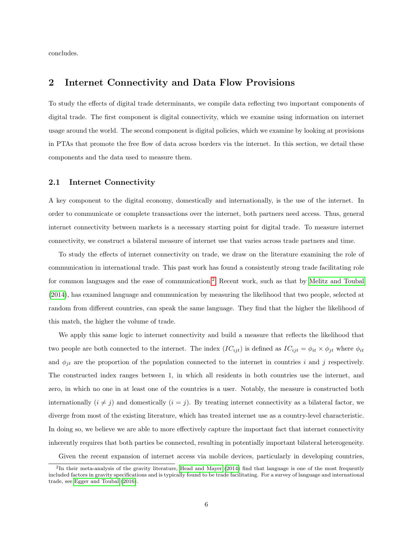concludes.

## 2 Internet Connectivity and Data Flow Provisions

To study the effects of digital trade determinants, we compile data reflecting two important components of digital trade. The first component is digital connectivity, which we examine using information on internet usage around the world. The second component is digital policies, which we examine by looking at provisions in PTAs that promote the free flow of data across borders via the internet. In this section, we detail these components and the data used to measure them.

#### 2.1 Internet Connectivity

A key component to the digital economy, domestically and internationally, is the use of the internet. In order to communicate or complete transactions over the internet, both partners need access. Thus, general internet connectivity between markets is a necessary starting point for digital trade. To measure internet connectivity, we construct a bilateral measure of internet use that varies across trade partners and time.

To study the effects of internet connectivity on trade, we draw on the literature examining the role of communication in international trade. This past work has found a consistently strong trade facilitating role for common languages and the ease of communication.[2](#page-5-0) Recent work, such as that by [Melitz and Toubal](#page-25-9) [\(2014\)](#page-25-9), has examined language and communication by measuring the likelihood that two people, selected at random from different countries, can speak the same language. They find that the higher the likelihood of this match, the higher the volume of trade.

We apply this same logic to internet connectivity and build a measure that reflects the likelihood that two people are both connected to the internet. The index  $(IC_{ijt})$  is defined as  $IC_{ijt} = \phi_{it} \times \phi_{jt}$  where  $\phi_{it}$ and  $\phi_{it}$  are the proportion of the population connected to the internet in countries i and j respectively. The constructed index ranges between 1, in which all residents in both countries use the internet, and zero, in which no one in at least one of the countries is a user. Notably, the measure is constructed both internationally  $(i \neq j)$  and domestically  $(i = j)$ . By treating internet connectivity as a bilateral factor, we diverge from most of the existing literature, which has treated internet use as a country-level characteristic. In doing so, we believe we are able to more effectively capture the important fact that internet connectivity inherently requires that both parties be connected, resulting in potentially important bilateral heterogeneity.

Given the recent expansion of internet access via mobile devices, particularly in developing countries,

<span id="page-5-0"></span><sup>&</sup>lt;sup>2</sup>In their meta-analysis of the gravity literature, [Head and Mayer](#page-25-10) [\(2014\)](#page-25-10) find that language is one of the most frequently included factors in gravity specifications and is typically found to be trade facilitating. For a survey of language and international trade, see [Egger and Toubal](#page-24-8) [\(2016\)](#page-24-8).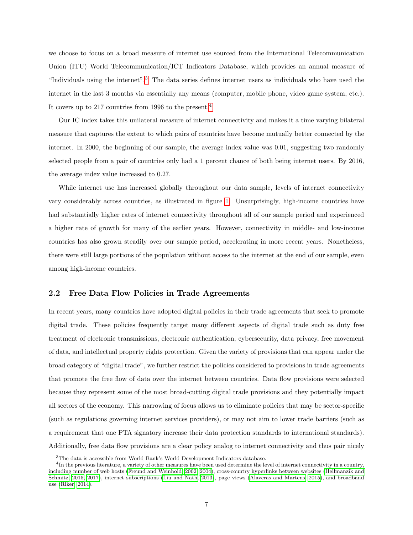we choose to focus on a broad measure of internet use sourced from the International Telecommunication Union (ITU) World Telecommunication/ICT Indicators Database, which provides an annual measure of "Individuals using the internet".[3](#page-6-0) The data series defines internet users as individuals who have used the internet in the last 3 months via essentially any means (computer, mobile phone, video game system, etc.). It covers up to 217 countries from 1996 to the present.[4](#page-6-1)

Our IC index takes this unilateral measure of internet connectivity and makes it a time varying bilateral measure that captures the extent to which pairs of countries have become mutually better connected by the internet. In 2000, the beginning of our sample, the average index value was 0.01, suggesting two randomly selected people from a pair of countries only had a 1 percent chance of both being internet users. By 2016, the average index value increased to 0.27.

While internet use has increased globally throughout our data sample, levels of internet connectivity vary considerably across countries, as illustrated in figure [1.](#page-7-0) Unsurprisingly, high-income countries have had substantially higher rates of internet connectivity throughout all of our sample period and experienced a higher rate of growth for many of the earlier years. However, connectivity in middle- and low-income countries has also grown steadily over our sample period, accelerating in more recent years. Nonetheless, there were still large portions of the population without access to the internet at the end of our sample, even among high-income countries.

#### 2.2 Free Data Flow Policies in Trade Agreements

In recent years, many countries have adopted digital policies in their trade agreements that seek to promote digital trade. These policies frequently target many different aspects of digital trade such as duty free treatment of electronic transmissions, electronic authentication, cybersecurity, data privacy, free movement of data, and intellectual property rights protection. Given the variety of provisions that can appear under the broad category of "digital trade", we further restrict the policies considered to provisions in trade agreements that promote the free flow of data over the internet between countries. Data flow provisions were selected because they represent some of the most broad-cutting digital trade provisions and they potentially impact all sectors of the economy. This narrowing of focus allows us to eliminate policies that may be sector-specific (such as regulations governing internet services providers), or may not aim to lower trade barriers (such as a requirement that one PTA signatory increase their data protection standards to international standards). Additionally, free data flow provisions are a clear policy analog to internet connectivity and thus pair nicely

<span id="page-6-1"></span><span id="page-6-0"></span><sup>&</sup>lt;sup>3</sup>The data is accessible from World Bank's World Development Indicators database.

<sup>&</sup>lt;sup>4</sup>In the previous literature, a variety of other measures have been used determine the level of internet connectivity in a country, including number of web hosts [\(Freund and Weinhold, 2002,](#page-24-2) [2004\)](#page-24-3), cross-country hyperlinks between websites [\(Hellmanzik and](#page-25-11) [Schmitz, 2015,](#page-25-11) [2017\)](#page-25-12), internet subscriptions [\(Liu and Nath, 2013\)](#page-25-5), page views [\(Alaveras and Martens, 2015\)](#page-23-0), and broadband use [\(Riker, 2014\)](#page-25-7).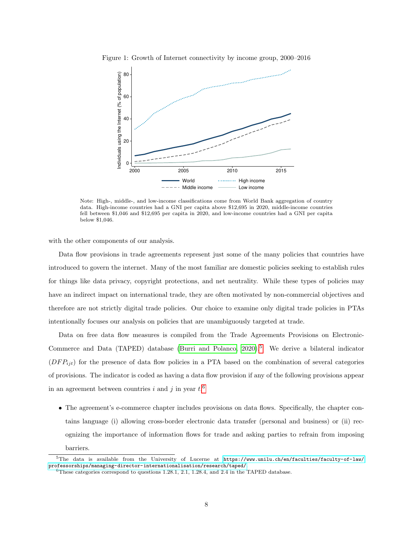<span id="page-7-0"></span>

Figure 1: Growth of Internet connectivity by income group, 2000–2016

Note: High-, middle-, and low-income classifications come from World Bank aggregation of country data. High-income countries had a GNI per capita above \$12,695 in 2020, middle-income countries fell between \$1,046 and \$12,695 per capita in 2020, and low-income countries had a GNI per capita below \$1,046.

with the other components of our analysis.

Data flow provisions in trade agreements represent just some of the many policies that countries have introduced to govern the internet. Many of the most familiar are domestic policies seeking to establish rules for things like data privacy, copyright protections, and net neutrality. While these types of policies may have an indirect impact on international trade, they are often motivated by non-commercial objectives and therefore are not strictly digital trade policies. Our choice to examine only digital trade policies in PTAs intentionally focuses our analysis on policies that are unambiguously targeted at trade.

Data on free data flow measures is compiled from the Trade Agreements Provisions on Electronic-Commerce and Data (TAPED) database (Burri and Polanco,  $2020$ ).<sup>[5](#page-7-1)</sup> We derive a bilateral indicator  $(DFP_{it})$  for the presence of data flow policies in a PTA based on the combination of several categories of provisions. The indicator is coded as having a data flow provision if any of the following provisions appear in an agreement between countries i and j in year  $t$ <sup>[6](#page-7-2)</sup>.

• The agreement's e-commerce chapter includes provisions on data flows. Specifically, the chapter contains language (i) allowing cross-border electronic data transfer (personal and business) or (ii) recognizing the importance of information flows for trade and asking parties to refrain from imposing barriers.

<sup>&</sup>lt;sup>5</sup>The data is available from the University of Lucerne at [https://www.unilu.ch/en/faculties/faculty-of-law/](https://www.unilu.ch/en/faculties/faculty-of-law/professorships/managing-director-internationalisation/research/taped/) [professorships/managing-director-internationalisation/research/taped/](https://www.unilu.ch/en/faculties/faculty-of-law/professorships/managing-director-internationalisation/research/taped/).

<span id="page-7-2"></span><span id="page-7-1"></span><sup>6</sup>These categories correspond to questions 1.28.1, 2.1, 1.28.4, and 2.4 in the TAPED database.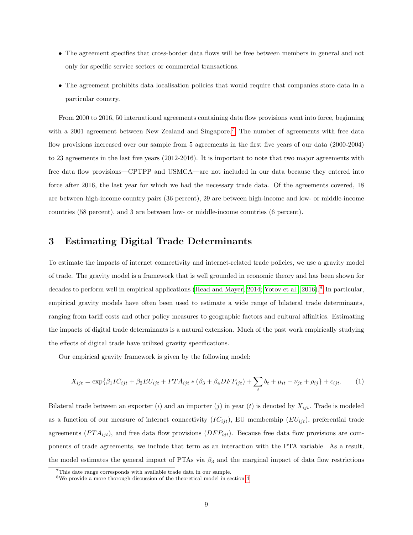- The agreement specifies that cross-border data flows will be free between members in general and not only for specific service sectors or commercial transactions.
- The agreement prohibits data localisation policies that would require that companies store data in a particular country.

From 2000 to 2016, 50 international agreements containing data flow provisions went into force, beginning with a 2001 agreement between New Zealand and Singapore.<sup>[7](#page-8-0)</sup> The number of agreements with free data flow provisions increased over our sample from 5 agreements in the first five years of our data (2000-2004) to 23 agreements in the last five years (2012-2016). It is important to note that two major agreements with free data flow provisions—CPTPP and USMCA—are not included in our data because they entered into force after 2016, the last year for which we had the necessary trade data. Of the agreements covered, 18 are between high-income country pairs (36 percent), 29 are between high-income and low- or middle-income countries (58 percent), and 3 are between low- or middle-income countries (6 percent).

## <span id="page-8-3"></span>3 Estimating Digital Trade Determinants

To estimate the impacts of internet connectivity and internet-related trade policies, we use a gravity model of trade. The gravity model is a framework that is well grounded in economic theory and has been shown for decades to perform well in empirical applications [\(Head and Mayer, 2014;](#page-25-10) [Yotov et al., 2016\)](#page-26-5).<sup>[8](#page-8-1)</sup> In particular, empirical gravity models have often been used to estimate a wide range of bilateral trade determinants, ranging from tariff costs and other policy measures to geographic factors and cultural affinities. Estimating the impacts of digital trade determinants is a natural extension. Much of the past work empirically studying the effects of digital trade have utilized gravity specifications.

Our empirical gravity framework is given by the following model:

<span id="page-8-2"></span>
$$
X_{ijt} = \exp\{\beta_1 IC_{ijt} + \beta_2 EU_{ijt} + PTA_{ijt} * (\beta_3 + \beta_4 DFP_{ijt}) + \sum_t b_t + \mu_{it} + \nu_{jt} + \rho_{ij}\} + \epsilon_{ijt}.
$$
 (1)

Bilateral trade between an exporter (i) and an importer (j) in year (t) is denoted by  $X_{ijt}$ . Trade is modeled as a function of our measure of internet connectivity  $(IC_{ijt})$ , EU membership  $(EU_{ijt})$ , preferential trade agreements  $(PTA_{ijt})$ , and free data flow provisions  $(DFP_{ijt})$ . Because free data flow provisions are components of trade agreements, we include that term as an interaction with the PTA variable. As a result, the model estimates the general impact of PTAs via  $\beta_3$  and the marginal impact of data flow restrictions

<span id="page-8-0"></span><sup>7</sup>This date range corresponds with available trade data in our sample.

<span id="page-8-1"></span><sup>8</sup>We provide a more thorough discussion of the theoretical model in section [4.](#page-16-0)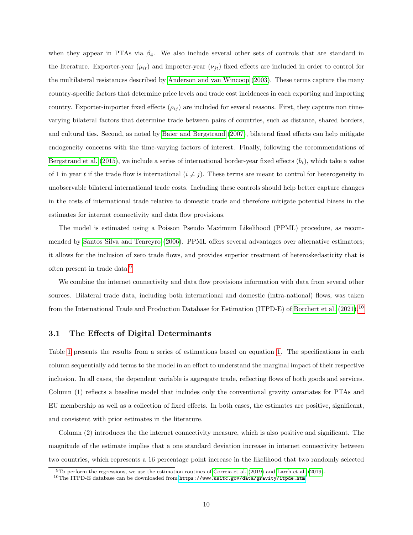when they appear in PTAs via  $\beta_4$ . We also include several other sets of controls that are standard in the literature. Exporter-year  $(\mu_{it})$  and importer-year  $(\nu_{it})$  fixed effects are included in order to control for the multilateral resistances described by [Anderson and van Wincoop](#page-24-10) [\(2003\)](#page-24-10). These terms capture the many country-specific factors that determine price levels and trade cost incidences in each exporting and importing country. Exporter-importer fixed effects  $(\rho_{ij})$  are included for several reasons. First, they capture non timevarying bilateral factors that determine trade between pairs of countries, such as distance, shared borders, and cultural ties. Second, as noted by [Baier and Bergstrand](#page-24-11) [\(2007\)](#page-24-11), bilateral fixed effects can help mitigate endogeneity concerns with the time-varying factors of interest. Finally, following the recommendations of [Bergstrand et al.](#page-24-12) [\(2015\)](#page-24-12), we include a series of international border-year fixed effects  $(b_t)$ , which take a value of 1 in year t if the trade flow is international  $(i \neq j)$ . These terms are meant to control for heterogeneity in unobservable bilateral international trade costs. Including these controls should help better capture changes in the costs of international trade relative to domestic trade and therefore mitigate potential biases in the estimates for internet connectivity and data flow provisions.

The model is estimated using a Poisson Pseudo Maximum Likelihood (PPML) procedure, as recommended by [Santos Silva and Tenreyro](#page-26-6) [\(2006\)](#page-26-6). PPML offers several advantages over alternative estimators; it allows for the inclusion of zero trade flows, and provides superior treatment of heteroskedasticity that is often present in trade data.<sup>[9](#page-9-0)</sup>

We combine the internet connectivity and data flow provisions information with data from several other sources. Bilateral trade data, including both international and domestic (intra-national) flows, was taken from the International Trade and Production Database for Estimation (ITPD-E) of [Borchert et al.](#page-24-13) [\(2021\)](#page-24-13).[10](#page-9-1)

#### <span id="page-9-2"></span>3.1 The Effects of Digital Determinants

Table [1](#page-10-0) presents the results from a series of estimations based on equation [1.](#page-8-2) The specifications in each column sequentially add terms to the model in an effort to understand the marginal impact of their respective inclusion. In all cases, the dependent variable is aggregate trade, reflecting flows of both goods and services. Column (1) reflects a baseline model that includes only the conventional gravity covariates for PTAs and EU membership as well as a collection of fixed effects. In both cases, the estimates are positive, significant, and consistent with prior estimates in the literature.

Column (2) introduces the the internet connectivity measure, which is also positive and significant. The magnitude of the estimate implies that a one standard deviation increase in internet connectivity between two countries, which represents a 16 percentage point increase in the likelihood that two randomly selected

<span id="page-9-0"></span><sup>9</sup>To perform the regressions, we use the estimation routines of [Correia et al.](#page-24-14) [\(2019\)](#page-24-14) and [Larch et al.](#page-25-13) [\(2019\)](#page-25-13).

<span id="page-9-1"></span> $10$ The ITPD-E database can be downloaded from <https://www.usitc.gov/data/gravity/itpde.htm>.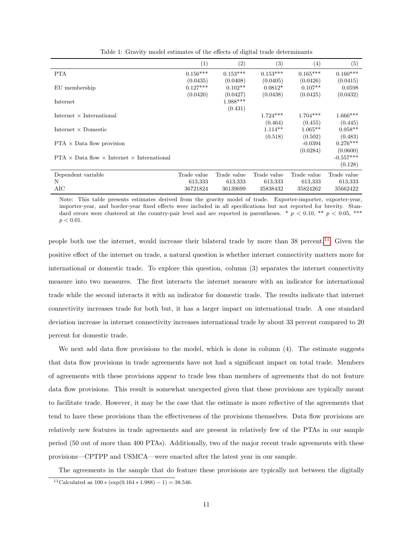|                                                             | (1)         | (2)         | (3)         | $\left(4\right)$ | $\left( 5\right)$ |
|-------------------------------------------------------------|-------------|-------------|-------------|------------------|-------------------|
| <b>PTA</b>                                                  | $0.156***$  | $0.153***$  | $0.153***$  | $0.165***$       | $0.160***$        |
|                                                             | (0.0435)    | (0.0408)    | (0.0405)    | (0.0426)         | (0.0415)          |
| EU membership                                               | $0.127***$  | $0.102**$   | $0.0812*$   | $0.107**$        | 0.0598            |
|                                                             | (0.0420)    | (0.0427)    | (0.0438)    | (0.0425)         | (0.0432)          |
| Internet                                                    |             | 1.988***    |             |                  |                   |
|                                                             |             | (0.431)     |             |                  |                   |
| Internet $\times$ International                             |             |             | $1.724***$  | $1.704***$       | $1.666***$        |
|                                                             |             |             | (0.464)     | (0.455)          | (0.445)           |
| Internet $\times$ Domestic                                  |             |             | $1.114**$   | $1.065**$        | $0.958**$         |
|                                                             |             |             | (0.518)     | (0.502)          | (0.483)           |
| $PTA \times Data$ flow provision                            |             |             |             | $-0.0394$        | $0.276***$        |
|                                                             |             |             |             | (0.0284)         | (0.0600)          |
| $PTA \times Data flow \times Internet \times International$ |             |             |             |                  | $-0.557***$       |
|                                                             |             |             |             |                  | (0.128)           |
| Dependent variable                                          | Trade value | Trade value | Trade value | Trade value      | Trade value       |
| N                                                           | 613,333     | 613,333     | 613,333     | 613,333          | 613,333           |
| AIC                                                         | 36721824    | 36139699    | 35838432    | 35824262         | 35662422          |

<span id="page-10-0"></span>Table 1: Gravity model estimates of the effects of digital trade determinants

Note: This table presents estimates derived from the gravity model of trade. Exporter-importer, exporter-year, importer-year, and border-year fixed effects were included in all specifications but not reported for brevity. Standard errors were clustered at the country-pair level and are reported in parentheses. \*  $p < 0.10$ , \*\*  $p < 0.05$ , \*\*\*  $p < 0.01$ .

people both use the internet, would increase their bilateral trade by more than 38 percent.<sup>[11](#page-10-1)</sup> Given the positive effect of the internet on trade, a natural question is whether internet connectivity matters more for international or domestic trade. To explore this question, column (3) separates the internet connectivity measure into two measures. The first interacts the internet measure with an indicator for international trade while the second interacts it with an indicator for domestic trade. The results indicate that internet connectivity increases trade for both but, it has a larger impact on international trade. A one standard deviation increase in internet connectivity increases international trade by about 33 percent compared to 20 percent for domestic trade.

We next add data flow provisions to the model, which is done in column (4). The estimate suggests that data flow provisions in trade agreements have not had a significant impact on total trade. Members of agreements with these provisions appear to trade less than members of agreements that do not feature data flow provisions. This result is somewhat unexpected given that these provisions are typically meant to facilitate trade. However, it may be the case that the estimate is more reflective of the agreements that tend to have these provisions than the effectiveness of the provisions themselves. Data flow provisions are relatively new features in trade agreements and are present in relatively few of the PTAs in our sample period (50 out of more than 400 PTAs). Additionally, two of the major recent trade agreements with these provisions—CPTPP and USMCA—were enacted after the latest year in our sample.

The agreements in the sample that do feature these provisions are typically not between the digitally

<span id="page-10-1"></span><sup>&</sup>lt;sup>11</sup>Calculated as  $100 * (exp(0.164 * 1.988) - 1) = 38.546$ .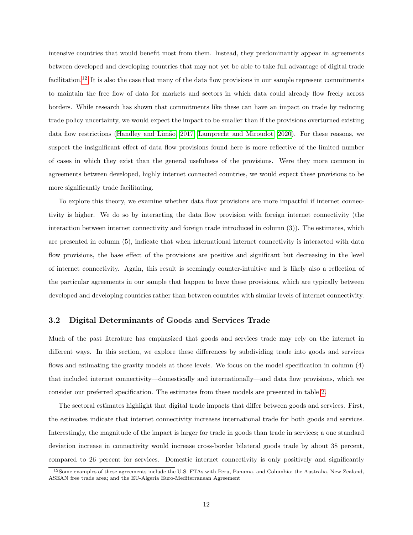intensive countries that would benefit most from them. Instead, they predominantly appear in agreements between developed and developing countries that may not yet be able to take full advantage of digital trade facilitation.<sup>[12](#page-11-0)</sup> It is also the case that many of the data flow provisions in our sample represent commitments to maintain the free flow of data for markets and sectors in which data could already flow freely across borders. While research has shown that commitments like these can have an impact on trade by reducing trade policy uncertainty, we would expect the impact to be smaller than if the provisions overturned existing data flow restrictions (Handley and Limão, 2017; [Lamprecht and Miroudot, 2020\)](#page-25-15). For these reasons, we suspect the insignificant effect of data flow provisions found here is more reflective of the limited number of cases in which they exist than the general usefulness of the provisions. Were they more common in agreements between developed, highly internet connected countries, we would expect these provisions to be more significantly trade facilitating.

To explore this theory, we examine whether data flow provisions are more impactful if internet connectivity is higher. We do so by interacting the data flow provision with foreign internet connectivity (the interaction between internet connectivity and foreign trade introduced in column (3)). The estimates, which are presented in column (5), indicate that when international internet connectivity is interacted with data flow provisions, the base effect of the provisions are positive and significant but decreasing in the level of internet connectivity. Again, this result is seemingly counter-intuitive and is likely also a reflection of the particular agreements in our sample that happen to have these provisions, which are typically between developed and developing countries rather than between countries with similar levels of internet connectivity.

#### 3.2 Digital Determinants of Goods and Services Trade

Much of the past literature has emphasized that goods and services trade may rely on the internet in different ways. In this section, we explore these differences by subdividing trade into goods and services flows and estimating the gravity models at those levels. We focus on the model specification in column (4) that included internet connectivity—domestically and internationally—and data flow provisions, which we consider our preferred specification. The estimates from these models are presented in table [2.](#page-12-0)

The sectoral estimates highlight that digital trade impacts that differ between goods and services. First, the estimates indicate that internet connectivity increases international trade for both goods and services. Interestingly, the magnitude of the impact is larger for trade in goods than trade in services; a one standard deviation increase in connectivity would increase cross-border bilateral goods trade by about 38 percent, compared to 26 percent for services. Domestic internet connectivity is only positively and significantly

<span id="page-11-0"></span><sup>12</sup>Some examples of these agreements include the U.S. FTAs with Peru, Panama, and Columbia; the Australia, New Zealand, ASEAN free trade area; and the EU-Algeria Euro-Mediterranean Agreement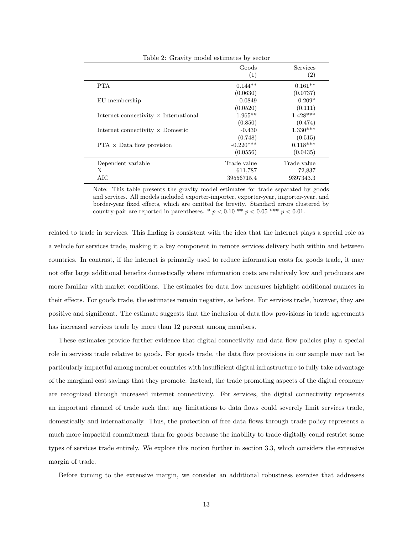<span id="page-12-0"></span>

| Table 2: Gravity model estimates by sector   |                                      |                                    |  |  |  |
|----------------------------------------------|--------------------------------------|------------------------------------|--|--|--|
|                                              | Goods<br>(1)                         | Services<br>$\left( 2\right)$      |  |  |  |
| <b>PTA</b>                                   | $0.144**$<br>(0.0630)                | $0.161**$<br>(0.0737)              |  |  |  |
| EU membership                                | 0.0849                               | $0.209*$                           |  |  |  |
| Internet connectivity $\times$ International | (0.0520)<br>$1.965**$                | (0.111)<br>$1.428***$              |  |  |  |
| Internet connectivity $\times$ Domestic      | (0.850)<br>$-0.430$                  | (0.474)<br>$1.330***$              |  |  |  |
| $PTA \times Data flow$ provision             | (0.748)<br>$-0.220***$<br>(0.0556)   | (0.515)<br>$0.118***$<br>(0.0435)  |  |  |  |
| Dependent variable<br>N<br>AIC               | Trade value<br>611,787<br>39556715.4 | Trade value<br>72,837<br>9397343.3 |  |  |  |

Note: This table presents the gravity model estimates for trade separated by goods and services. All models included exporter-importer, exporter-year, importer-year, and border-year fixed effects, which are omitted for brevity. Standard errors clustered by country-pair are reported in parentheses. \*  $p < 0.10$  \*\*  $p < 0.05$  \*\*\*  $p < 0.01$ .

related to trade in services. This finding is consistent with the idea that the internet plays a special role as a vehicle for services trade, making it a key component in remote services delivery both within and between countries. In contrast, if the internet is primarily used to reduce information costs for goods trade, it may not offer large additional benefits domestically where information costs are relatively low and producers are more familiar with market conditions. The estimates for data flow measures highlight additional nuances in their effects. For goods trade, the estimates remain negative, as before. For services trade, however, they are positive and significant. The estimate suggests that the inclusion of data flow provisions in trade agreements has increased services trade by more than 12 percent among members.

These estimates provide further evidence that digital connectivity and data flow policies play a special role in services trade relative to goods. For goods trade, the data flow provisions in our sample may not be particularly impactful among member countries with insufficient digital infrastructure to fully take advantage of the marginal cost savings that they promote. Instead, the trade promoting aspects of the digital economy are recognized through increased internet connectivity. For services, the digital connectivity represents an important channel of trade such that any limitations to data flows could severely limit services trade, domestically and internationally. Thus, the protection of free data flows through trade policy represents a much more impactful commitment than for goods because the inability to trade digitally could restrict some types of services trade entirely. We explore this notion further in section 3.3, which considers the extensive margin of trade.

Before turning to the extensive margin, we consider an additional robustness exercise that addresses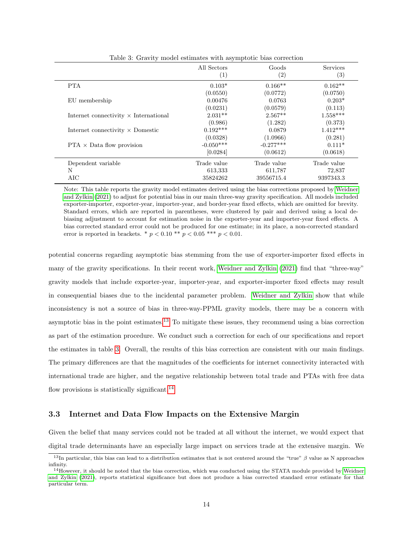|                                              | All Sectors<br>$\left( 1\right)$ | Goods<br>(2) | <b>Services</b><br>$\left( 3\right)$ |
|----------------------------------------------|----------------------------------|--------------|--------------------------------------|
| <b>PTA</b>                                   | $0.103*$                         | $0.166**$    | $0.162**$                            |
|                                              | (0.0550)                         | (0.0772)     | (0.0750)                             |
| EU membership                                | 0.00476                          | 0.0763       | $0.203*$                             |
|                                              | (0.0231)                         | (0.0579)     | (0.113)                              |
| Internet connectivity $\times$ International | $2.031**$                        | $2.567**$    | $1.558***$                           |
|                                              | (0.986)                          | (1.282)      | (0.373)                              |
| Internet connectivity $\times$ Domestic      | $0.192***$                       | 0.0879       | $1.412***$                           |
|                                              | (0.0328)                         | (1.0966)     | (0.281)                              |
| $PTA \times Data flow$ provision             | $-0.050***$                      | $-0.277***$  | $0.111*$                             |
|                                              | [0.0284]                         | (0.0612)     | (0.0618)                             |
| Dependent variable                           | Trade value                      | Trade value  | Trade value                          |
| N                                            | 613,333                          | 611,787      | 72,837                               |
| AIC                                          | 35824262                         | 39556715.4   | 9397343.3                            |

<span id="page-13-1"></span>Table 3: Gravity model estimates with asymptotic bias correction

Note: This table reports the gravity model estimates derived using the bias corrections proposed by [Weidner](#page-26-7) [and Zylkin](#page-26-7) [\(2021\)](#page-26-7) to adjust for potential bias in our main three-way gravity specification. All models included exporter-importer, exporter-year, importer-year, and border-year fixed effects, which are omitted for brevity. Standard errors, which are reported in parentheses, were clustered by pair and derived using a local debiasing adjustment to account for estimation noise in the exporter-year and importer-year fixed effects. A bias corrected standard error could not be produced for one estimate; in its place, a non-corrected standard error is reported in brackets. \*  $p < 0.10$  \*\*  $p < 0.05$  \*\*\*  $p < 0.01$ .

potential concerns regarding asymptotic bias stemming from the use of exporter-importer fixed effects in many of the gravity specifications. In their recent work, [Weidner and Zylkin](#page-26-7) [\(2021\)](#page-26-7) find that "three-way" gravity models that include exporter-year, importer-year, and exporter-importer fixed effects may result in consequential biases due to the incidental parameter problem. [Weidner and Zylkin](#page-26-7) show that while inconsistency is not a source of bias in three-way-PPML gravity models, there may be a concern with asymptotic bias in the point estimates.<sup>[13](#page-13-0)</sup> To mitigate these issues, they recommend using a bias correction as part of the estimation procedure. We conduct such a correction for each of our specifications and report the estimates in table [3.](#page-13-1) Overall, the results of this bias correction are consistent with our main findings. The primary differences are that the magnitudes of the coefficients for internet connectivity interacted with international trade are higher, and the negative relationship between total trade and PTAs with free data flow provisions is statistically significant.<sup>[14](#page-13-2)</sup>

#### 3.3 Internet and Data Flow Impacts on the Extensive Margin

Given the belief that many services could not be traded at all without the internet, we would expect that digital trade determinants have an especially large impact on services trade at the extensive margin. We

<span id="page-13-0"></span> $13$ In particular, this bias can lead to a distribution estimates that is not centered around the "true" β value as N approaches infinity.

<span id="page-13-2"></span> $14$ However, it should be noted that the bias correction, which was conducted using the STATA module provided by [Weidner](#page-26-7) [and Zylkin](#page-26-7) [\(2021\)](#page-26-7), reports statistical significance but does not produce a bias corrected standard error estimate for that particular term.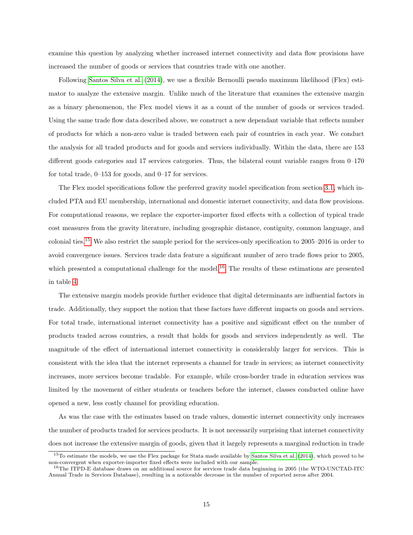examine this question by analyzing whether increased internet connectivity and data flow provisions have increased the number of goods or services that countries trade with one another.

Following [Santos Silva et al.](#page-26-8) [\(2014\)](#page-26-8), we use a flexible Bernoulli pseudo maximum likelihood (Flex) estimator to analyze the extensive margin. Unlike much of the literature that examines the extensive margin as a binary phenomenon, the Flex model views it as a count of the number of goods or services traded. Using the same trade flow data described above, we construct a new dependant variable that reflects number of products for which a non-zero value is traded between each pair of countries in each year. We conduct the analysis for all traded products and for goods and services individually. Within the data, there are 153 different goods categories and 17 services categories. Thus, the bilateral count variable ranges from 0–170 for total trade,  $0-153$  for goods, and  $0-17$  for services.

The Flex model specifications follow the preferred gravity model specification from section [3.1,](#page-9-2) which included PTA and EU membership, international and domestic internet connectivity, and data flow provisions. For computational reasons, we replace the exporter-importer fixed effects with a collection of typical trade cost measures from the gravity literature, including geographic distance, contiguity, common language, and colonial ties.[15](#page-14-0) We also restrict the sample period for the services-only specification to 2005–2016 in order to avoid convergence issues. Services trade data feature a significant number of zero trade flows prior to 2005, which presented a computational challenge for the model.<sup>[16](#page-14-1)</sup> The results of these estimations are presented in table [4.](#page-15-0)

The extensive margin models provide further evidence that digital determinants are influential factors in trade. Additionally, they support the notion that these factors have different impacts on goods and services. For total trade, international internet connectivity has a positive and significant effect on the number of products traded across countries, a result that holds for goods and services independently as well. The magnitude of the effect of international internet connectivity is considerably larger for services. This is consistent with the idea that the internet represents a channel for trade in services; as internet connectivity increases, more services become tradable. For example, while cross-border trade in education services was limited by the movement of either students or teachers before the internet, classes conducted online have opened a new, less costly channel for providing education.

As was the case with the estimates based on trade values, domestic internet connectivity only increases the number of products traded for services products. It is not necessarily surprising that internet connectivity does not increase the extensive margin of goods, given that it largely represents a marginal reduction in trade

<span id="page-14-0"></span><sup>&</sup>lt;sup>15</sup>To estimate the models, we use the Flex package for Stata made available by [Santos Silva et al.](#page-26-8) [\(2014\)](#page-26-8), which proved to be non-convergent when exporter-importer fixed effects were included with our sample.

<span id="page-14-1"></span><sup>&</sup>lt;sup>16</sup>The ITPD-E database draws on an additional source for services trade data beginning in 2005 (the WTO-UNCTAD-ITC Annual Trade in Services Database), resulting in a noticeable decrease in the number of reported zeros after 2004.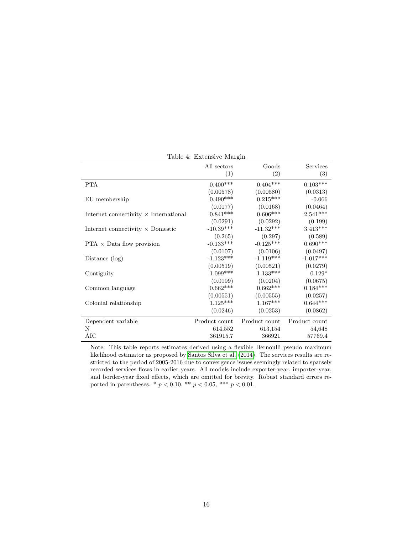|                                              | All sectors<br>(1) | Goods<br>(2)  | Services<br>(3) |
|----------------------------------------------|--------------------|---------------|-----------------|
| <b>PTA</b>                                   | $0.400***$         | $0.404***$    | $0.103^{***}\;$ |
|                                              | (0.00578)          | (0.00580)     | (0.0313)        |
| EU membership                                | $0.490***$         | $0.215***$    | $-0.066$        |
|                                              | (0.0177)           | (0.0168)      | (0.0464)        |
| Internet connectivity $\times$ International | $0.841***$         | $0.606***$    | $2.541***$      |
|                                              | (0.0291)           | (0.0292)      | (0.199)         |
| Internet connectivity $\times$ Domestic      | $-10.39***$        | $-11.32***$   | $3.413***$      |
|                                              | (0.265)            | (0.297)       | (0.589)         |
| $PTA \times Data$ flow provision             | $-0.133***$        | $-0.125***$   | $0.690***$      |
|                                              | (0.0107)           | (0.0106)      | (0.0497)        |
| Distance $(\log)$                            | $-1.123***$        | $-1.119***$   | $-1.017***$     |
|                                              | (0.00519)          | (0.00521)     | (0.0279)        |
| Contiguity                                   | $1.099***$         | $1.133***$    | $0.129*$        |
|                                              | (0.0199)           | (0.0204)      | (0.0675)        |
| Common language                              | $0.662***$         | $0.662***$    | $0.184***$      |
|                                              | (0.00551)          | (0.00555)     | (0.0257)        |
| Colonial relationship                        | $1.125***$         | $1.167***$    | $0.644***$      |
|                                              | (0.0246)           | (0.0253)      | (0.0862)        |
| Dependent variable                           | Product count      | Product count | Product count   |
| N                                            | 614,552            | 613,154       | 54,648          |
| AIC                                          | 361915.7           | 366921        | 57769.4         |

<span id="page-15-0"></span>Table 4: Extensive Margin

Note: This table reports estimates derived using a flexible Bernoulli pseudo maximum likelihood estimator as proposed by [Santos Silva et al.](#page-26-8) [\(2014\)](#page-26-8). The services results are restricted to the period of 2005-2016 due to convergence issues seemingly related to sparsely recorded services flows in earlier years. All models include exporter-year, importer-year, and border-year fixed effects, which are omitted for brevity. Robust standard errors reported in parentheses. \* $p < 0.10,$  \*\*  $p < 0.05,$  \*\*\*  $p < 0.01.$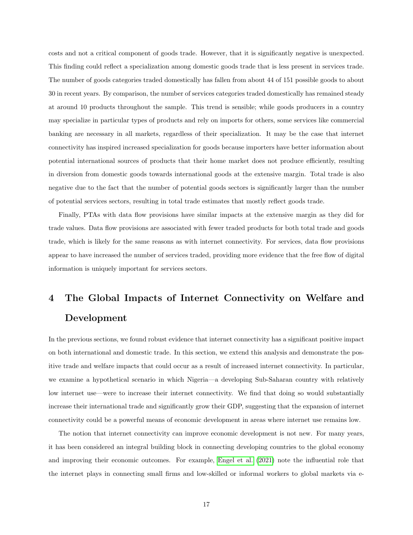costs and not a critical component of goods trade. However, that it is significantly negative is unexpected. This finding could reflect a specialization among domestic goods trade that is less present in services trade. The number of goods categories traded domestically has fallen from about 44 of 151 possible goods to about 30 in recent years. By comparison, the number of services categories traded domestically has remained steady at around 10 products throughout the sample. This trend is sensible; while goods producers in a country may specialize in particular types of products and rely on imports for others, some services like commercial banking are necessary in all markets, regardless of their specialization. It may be the case that internet connectivity has inspired increased specialization for goods because importers have better information about potential international sources of products that their home market does not produce efficiently, resulting in diversion from domestic goods towards international goods at the extensive margin. Total trade is also negative due to the fact that the number of potential goods sectors is significantly larger than the number of potential services sectors, resulting in total trade estimates that mostly reflect goods trade.

Finally, PTAs with data flow provisions have similar impacts at the extensive margin as they did for trade values. Data flow provisions are associated with fewer traded products for both total trade and goods trade, which is likely for the same reasons as with internet connectivity. For services, data flow provisions appear to have increased the number of services traded, providing more evidence that the free flow of digital information is uniquely important for services sectors.

# <span id="page-16-0"></span>4 The Global Impacts of Internet Connectivity on Welfare and Development

In the previous sections, we found robust evidence that internet connectivity has a significant positive impact on both international and domestic trade. In this section, we extend this analysis and demonstrate the positive trade and welfare impacts that could occur as a result of increased internet connectivity. In particular, we examine a hypothetical scenario in which Nigeria—a developing Sub-Saharan country with relatively low internet use—were to increase their internet connectivity. We find that doing so would substantially increase their international trade and significantly grow their GDP, suggesting that the expansion of internet connectivity could be a powerful means of economic development in areas where internet use remains low.

The notion that internet connectivity can improve economic development is not new. For many years, it has been considered an integral building block in connecting developing countries to the global economy and improving their economic outcomes. For example, [Engel et al.](#page-24-15) [\(2021\)](#page-24-15) note the influential role that the internet plays in connecting small firms and low-skilled or informal workers to global markets via e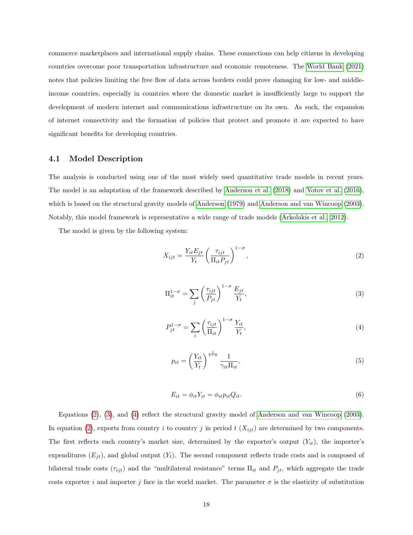commerce marketplaces and international supply chains. These connections can help citizens in developing countries overcome poor transportation infrastructure and economic remoteness. The [World Bank](#page-26-9) [\(2021\)](#page-26-9) notes that policies limiting the free flow of data across borders could prove damaging for low- and middleincome countries, especially in countries where the domestic market is insufficiently large to support the development of modern internet and communications infrastructure on its own. As such, the expansion of internet connectivity and the formation of policies that protect and promote it are expected to have significant benefits for developing countries.

#### 4.1 Model Description

The analysis is conducted using one of the most widely used quantitative trade models in recent years. The model is an adaptation of the framework described by [Anderson et al.](#page-23-2) [\(2018\)](#page-23-2) and [Yotov et al.](#page-26-5) [\(2016\)](#page-26-5), which is based on the structural gravity models of [Anderson](#page-23-3) [\(1979\)](#page-23-3) and [Anderson and van Wincoop](#page-24-10) [\(2003\)](#page-24-10). Notably, this model framework is representative a wide range of trade models [\(Arkolakis et al., 2012\)](#page-24-16).

The model is given by the following system:

<span id="page-17-0"></span>
$$
X_{ijt} = \frac{Y_{it}E_{jt}}{Y_t} \left(\frac{\tau_{ijt}}{\Pi_{it}P_{jt}}\right)^{1-\sigma},\tag{2}
$$

<span id="page-17-1"></span>
$$
\Pi_{it}^{1-\sigma} = \sum_{j} \left(\frac{\tau_{ijt}}{P_{jt}}\right)^{1-\sigma} \frac{E_{jt}}{Y_t},\tag{3}
$$

<span id="page-17-2"></span>
$$
P_{jt}^{1-\sigma} = \sum_{i} \left(\frac{\tau_{ijt}}{\Pi_{it}}\right)^{1-\sigma} \frac{Y_{it}}{Y_t},\tag{4}
$$

<span id="page-17-3"></span>
$$
p_{it} = \left(\frac{Y_{it}}{Y_t}\right)^{\frac{1}{1-\sigma}} \frac{1}{\gamma_{it} \Pi_{it}},\tag{5}
$$

<span id="page-17-4"></span>
$$
E_{it} = \phi_{it} Y_{it} = \phi_{it} p_{it} Q_{it}.
$$
\n
$$
(6)
$$

Equations [\(2\)](#page-17-0), [\(3\)](#page-17-1), and [\(4\)](#page-17-2) reflect the structural gravity model of [Anderson and van Wincoop](#page-24-10) [\(2003\)](#page-24-10). In equation [\(2\)](#page-17-0), exports from country i to country j in period  $t(X_{ijt})$  are determined by two components. The first reflects each country's market size, determined by the exporter's output  $(Y_{it})$ , the importer's expenditures  $(E_{jt})$ , and global output  $(Y_t)$ . The second component reflects trade costs and is composed of bilateral trade costs  $(\tau_{ijt})$  and the "multilateral resistance" terms  $\Pi_{it}$  and  $P_{jt}$ , which aggregate the trade costs exporter i and importer j face in the world market. The parameter  $\sigma$  is the elasticity of substitution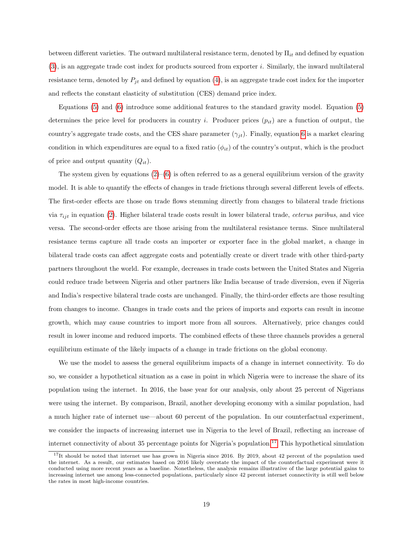between different varieties. The outward multilateral resistance term, denoted by  $\Pi_{it}$  and defined by equation [\(3\)](#page-17-1), is an aggregate trade cost index for products sourced from exporter i. Similarly, the inward multilateral resistance term, denoted by  $P_{it}$  and defined by equation [\(4\)](#page-17-2), is an aggregate trade cost index for the importer and reflects the constant elasticity of substitution (CES) demand price index.

Equations [\(5\)](#page-17-3) and [\(6\)](#page-17-4) introduce some additional features to the standard gravity model. Equation [\(5\)](#page-17-3) determines the price level for producers in country i. Producer prices  $(p_{it})$  are a function of output, the country's aggregate trade costs, and the CES share parameter  $(\gamma_{jt})$ . Finally, equation [6](#page-17-4) is a market clearing condition in which expenditures are equal to a fixed ratio  $(\phi_{it})$  of the country's output, which is the product of price and output quantity  $(Q_{it})$ .

The system given by equations  $(2)$ – $(6)$  is often referred to as a general equilibrium version of the gravity model. It is able to quantify the effects of changes in trade frictions through several different levels of effects. The first-order effects are those on trade flows stemming directly from changes to bilateral trade frictions via  $\tau_{ijt}$  in equation [\(2\)](#page-17-0). Higher bilateral trade costs result in lower bilateral trade, *ceterus paribus*, and vice versa. The second-order effects are those arising from the multilateral resistance terms. Since multilateral resistance terms capture all trade costs an importer or exporter face in the global market, a change in bilateral trade costs can affect aggregate costs and potentially create or divert trade with other third-party partners throughout the world. For example, decreases in trade costs between the United States and Nigeria could reduce trade between Nigeria and other partners like India because of trade diversion, even if Nigeria and India's respective bilateral trade costs are unchanged. Finally, the third-order effects are those resulting from changes to income. Changes in trade costs and the prices of imports and exports can result in income growth, which may cause countries to import more from all sources. Alternatively, price changes could result in lower income and reduced imports. The combined effects of these three channels provides a general equilibrium estimate of the likely impacts of a change in trade frictions on the global economy.

We use the model to assess the general equilibrium impacts of a change in internet connectivity. To do so, we consider a hypothetical situation as a case in point in which Nigeria were to increase the share of its population using the internet. In 2016, the base year for our analysis, only about 25 percent of Nigerians were using the internet. By comparison, Brazil, another developing economy with a similar population, had a much higher rate of internet use—about 60 percent of the population. In our counterfactual experiment, we consider the impacts of increasing internet use in Nigeria to the level of Brazil, reflecting an increase of internet connectivity of about 35 percentage points for Nigeria's population.<sup>[17](#page-18-0)</sup> This hypothetical simulation

<span id="page-18-0"></span> $17$ It should be noted that internet use has grown in Nigeria since 2016. By 2019, about 42 percent of the population used the internet. As a result, our estimates based on 2016 likely overstate the impact of the counterfactual experiment were it conducted using more recent years as a baseline. Nonetheless, the analysis remains illustrative of the large potential gains to increasing internet use among less-connected populations, particularly since 42 percent internet connectivity is still well below the rates in most high-income countries.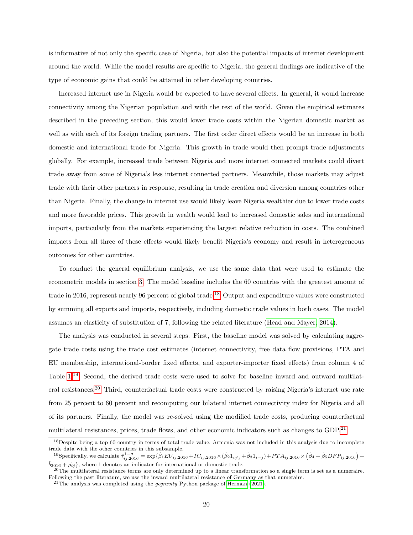is informative of not only the specific case of Nigeria, but also the potential impacts of internet development around the world. While the model results are specific to Nigeria, the general findings are indicative of the type of economic gains that could be attained in other developing countries.

Increased internet use in Nigeria would be expected to have several effects. In general, it would increase connectivity among the Nigerian population and with the rest of the world. Given the empirical estimates described in the preceding section, this would lower trade costs within the Nigerian domestic market as well as with each of its foreign trading partners. The first order direct effects would be an increase in both domestic and international trade for Nigeria. This growth in trade would then prompt trade adjustments globally. For example, increased trade between Nigeria and more internet connected markets could divert trade away from some of Nigeria's less internet connected partners. Meanwhile, those markets may adjust trade with their other partners in response, resulting in trade creation and diversion among countries other than Nigeria. Finally, the change in internet use would likely leave Nigeria wealthier due to lower trade costs and more favorable prices. This growth in wealth would lead to increased domestic sales and international imports, particularly from the markets experiencing the largest relative reduction in costs. The combined impacts from all three of these effects would likely benefit Nigeria's economy and result in heterogeneous outcomes for other countries.

To conduct the general equilibrium analysis, we use the same data that were used to estimate the econometric models in section [3.](#page-8-3) The model baseline includes the 60 countries with the greatest amount of trade in 2016, represent nearly 96 percent of global trade.[18](#page-19-0) Output and expenditure values were constructed by summing all exports and imports, respectively, including domestic trade values in both cases. The model assumes an elasticity of substitution of 7, following the related literature [\(Head and Mayer, 2014\)](#page-25-10).

The analysis was conducted in several steps. First, the baseline model was solved by calculating aggregate trade costs using the trade cost estimates (internet connectivity, free data flow provisions, PTA and EU membership, international-border fixed effects, and exporter-importer fixed effects) from column 4 of Table  $1^{19}$  $1^{19}$  $1^{19}$  Second, the derived trade costs were used to solve for baseline inward and outward multilateral resistances.[20](#page-19-2) Third, counterfactual trade costs were constructed by raising Nigeria's internet use rate from 25 percent to 60 percent and recomputing our bilateral internet connectivity index for Nigeria and all of its partners. Finally, the model was re-solved using the modified trade costs, producing counterfactual multilateral resistances, prices, trade flows, and other economic indicators such as changes to GDP.<sup>[21](#page-19-3)</sup>

<span id="page-19-0"></span><sup>&</sup>lt;sup>18</sup>Despite being a top 60 country in terms of total trade value, Armenia was not included in this analysis due to incomplete trade data with the other countries in this subsample.

<span id="page-19-1"></span><sup>&</sup>lt;sup>19</sup>Specifically, we calculate  $\hat{\tau}_{ij,2016}^{1-\sigma} = \exp\{\hat{\beta}_1 EU_{ij,2016} + IC_{ij,2016} \times (\hat{\beta}_2 1_{i\neq j} + \hat{\beta}_3 1_{i=j}) + PTA_{ij,2016} \times (\hat{\beta}_4 + \hat{\beta}_5 DFP_{ij,2016}) +$  $\hat{b}_{2016} + \hat{\rho}_{ij}$ , where 1 denotes an indicator for international or domestic trade.

<span id="page-19-2"></span><sup>&</sup>lt;sup>20</sup>The multilateral resistance terms are only determined up to a linear transformation so a single term is set as a numeraire. Following the past literature, we use the inward multilateral resistance of Germany as that numeraire.

<span id="page-19-3"></span> $21$ The analysis was completed using the *gegravity* Python package of [Herman](#page-25-16) [\(2021\)](#page-25-16).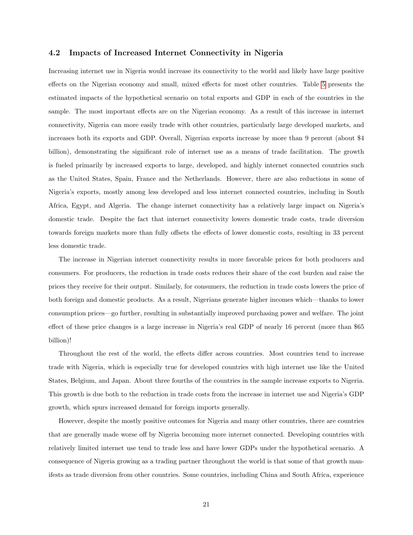#### 4.2 Impacts of Increased Internet Connectivity in Nigeria

Increasing internet use in Nigeria would increase its connectivity to the world and likely have large positive effects on the Nigerian economy and small, mixed effects for most other countries. Table [5](#page-21-0) presents the estimated impacts of the hypothetical scenario on total exports and GDP in each of the countries in the sample. The most important effects are on the Nigerian economy. As a result of this increase in internet connectivity, Nigeria can more easily trade with other countries, particularly large developed markets, and increases both its exports and GDP. Overall, Nigerian exports increase by more than 9 percent (about \$4 billion), demonstrating the significant role of internet use as a means of trade facilitation. The growth is fueled primarily by increased exports to large, developed, and highly internet connected countries such as the United States, Spain, France and the Netherlands. However, there are also reductions in some of Nigeria's exports, mostly among less developed and less internet connected countries, including in South Africa, Egypt, and Algeria. The change internet connectivity has a relatively large impact on Nigeria's domestic trade. Despite the fact that internet connectivity lowers domestic trade costs, trade diversion towards foreign markets more than fully offsets the effects of lower domestic costs, resulting in 33 percent less domestic trade.

The increase in Nigerian internet connectivity results in more favorable prices for both producers and consumers. For producers, the reduction in trade costs reduces their share of the cost burden and raise the prices they receive for their output. Similarly, for consumers, the reduction in trade costs lowers the price of both foreign and domestic products. As a result, Nigerians generate higher incomes which—thanks to lower consumption prices—go further, resulting in substantially improved purchasing power and welfare. The joint effect of these price changes is a large increase in Nigeria's real GDP of nearly 16 percent (more than \$65 billion)!

Throughout the rest of the world, the effects differ across countries. Most countries tend to increase trade with Nigeria, which is especially true for developed countries with high internet use like the United States, Belgium, and Japan. About three fourths of the countries in the sample increase exports to Nigeria. This growth is due both to the reduction in trade costs from the increase in internet use and Nigeria's GDP growth, which spurs increased demand for foreign imports generally.

However, despite the mostly positive outcomes for Nigeria and many other countries, there are countries that are generally made worse off by Nigeria becoming more internet connected. Developing countries with relatively limited internet use tend to trade less and have lower GDPs under the hypothetical scenario. A consequence of Nigeria growing as a trading partner throughout the world is that some of that growth manifests as trade diversion from other countries. Some countries, including China and South Africa, experience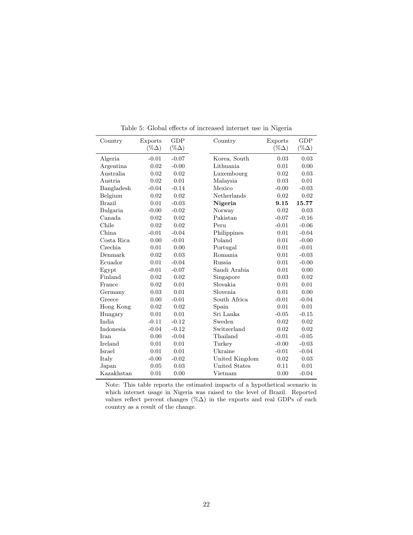| Country          | Exports      | <b>GDP</b>   | Country              | Exports      | GDP          |
|------------------|--------------|--------------|----------------------|--------------|--------------|
|                  | $(\%\Delta)$ | $(\%\Delta)$ |                      | $(\%\Delta)$ | $(\%\Delta)$ |
| Algeria          | $-0.01$      | $-0.07$      | Korea, South         | 0.03         | 0.03         |
| Argentina        | 0.02         | $-0.00$      | Lithuania            | 0.01         | 0.00         |
| Australia        | 0.02         | 0.02         | Luxembourg           | 0.02         | 0.03         |
| Austria          | 0.02         | 0.01         | Malaysia             | 0.03         | 0.01         |
| Bangladesh       | $-0.04$      | $-0.14$      | Mexico               | $-0.00$      | $-0.03$      |
| Belgium          | 0.02         | 0.02         | Netherlands          | 0.02         | 0.02         |
| <b>Brazil</b>    | 0.01         | $-0.03$      | Nigeria              | 9.15         | 15.77        |
| Bulgaria         | $-0.00$      | $-0.02$      | Norway               | 0.02         | 0.03         |
| Canada           | 0.02         | 0.02         | Pakistan             | $-0.07$      | $-0.16$      |
| Chile            | 0.02         | 0.02         | Peru                 | $-0.01$      | $-0.06$      |
| China.           | $-0.01$      | $-0.04$      | Philippines          | 0.01         | $-0.04$      |
| Costa Rica       | 0.00         | $-0.01$      | Poland               | 0.01         | $-0.00$      |
| Czechia.         | 0.01         | 0.00         | Portugal             | 0.01         | $-0.01$      |
| Denmark          | 0.02         | 0.03         | Romania              | 0.01         | $-0.03$      |
| Ecuador          | 0.01         | $-0.04$      | <b>Russia</b>        | 0.01         | $-0.00$      |
| Egypt            | $-0.01$      | $-0.07$      | Saudi Arabia         | 0.01         | 0.00         |
| Finland          | 0.02         | 0.02         | Singapore            | 0.03         | 0.02         |
| France           | 0.02         | 0.01         | Slovakia             | 0.01         | 0.01         |
| Germany          | 0.03         | 0.01         | Slovenia             | 0.01         | 0.00         |
| Greece           | 0.00         | $-0.01$      | South Africa         | $-0.01$      | $-0.04$      |
| Hong Kong        | 0.02         | 0.02         | Spain                | 0.01         | 0.01         |
| Hungary          | 0.01         | 0.01         | Sri Lanka            | $-0.05$      | $-0.15$      |
| <b>India</b>     | $-0.11$      | $-0.12$      | Sweden               | 0.02         | 0.02         |
| <b>Indonesia</b> | $-0.04$      | $-0.12$      | Switzerland          | 0.02         | 0.02         |
| Iran             | 0.00         | $-0.04$      | Thailand             | $-0.01$      | $-0.05$      |
| Ireland          | 0.01         | 0.01         | Turkey               | $-0.00$      | $-0.03$      |
| Israel           | 0.01         | 0.01         | Ukraine              | $-0.01$      | $-0.04$      |
| Italy            | $-0.00$      | $-0.02$      | United Kingdom       | 0.02         | 0.03         |
| Japan            | 0.05         | 0.03         | <b>United States</b> | 0.11         | 0.01         |
| Kazakhstan       | 0.01         | 0.00         | Vietnam              | 0.00         | $-0.04$      |

<span id="page-21-0"></span>Table 5: Global effects of increased internet use in Nigeria

L

 $\overline{a}$ 

÷,

Note: This table reports the estimated impacts of a hypothetical scenario in which internet usage in Nigeria was raised to the level of Brazil. Reported values reflect percent changes (% $\Delta$ ) in the exports and real GDPs of each country as a result of the change.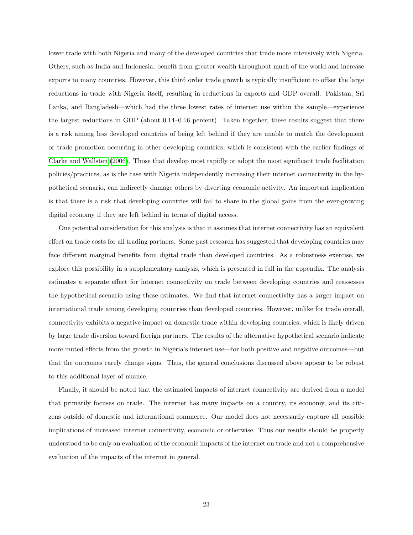lower trade with both Nigeria and many of the developed countries that trade more intensively with Nigeria. Others, such as India and Indonesia, benefit from greater wealth throughout much of the world and increase exports to many countries. However, this third order trade growth is typically insufficient to offset the large reductions in trade with Nigeria itself, resulting in reductions in exports and GDP overall. Pakistan, Sri Lanka, and Bangladesh—which had the three lowest rates of internet use within the sample—experience the largest reductions in GDP (about 0.14–0.16 percent). Taken together, these results suggest that there is a risk among less developed countries of being left behind if they are unable to match the development or trade promotion occurring in other developing countries, which is consistent with the earlier findings of [Clarke and Wallsten](#page-24-5) [\(2006\)](#page-24-5). Those that develop most rapidly or adopt the most significant trade facilitation policies/practices, as is the case with Nigeria independently increasing their internet connectivity in the hypothetical scenario, can indirectly damage others by diverting economic activity. An important implication is that there is a risk that developing countries will fail to share in the global gains from the ever-growing digital economy if they are left behind in terms of digital access.

One potential consideration for this analysis is that it assumes that internet connectivity has an equivalent effect on trade costs for all trading partners. Some past research has suggested that developing countries may face different marginal benefits from digital trade than developed countries. As a robustness exercise, we explore this possibility in a supplementary analysis, which is presented in full in the appendix. The analysis estimates a separate effect for internet connectivity on trade between developing countries and reassesses the hypothetical scenario using these estimates. We find that internet connectivity has a larger impact on international trade among developing countries than developed countries. However, unlike for trade overall, connectivity exhibits a negative impact on domestic trade within developing countries, which is likely driven by large trade diversion toward foreign partners. The results of the alternative hypothetical scenario indicate more muted effects from the growth in Nigeria's internet use—for both positive and negative outcomes—but that the outcomes rarely change signs. Thus, the general conclusions discussed above appear to be robust to this additional layer of nuance.

Finally, it should be noted that the estimated impacts of internet connectivity are derived from a model that primarily focuses on trade. The internet has many impacts on a country, its economy, and its citizens outside of domestic and international commerce. Our model does not necessarily capture all possible implications of increased internet connectivity, economic or otherwise. Thus our results should be properly understood to be only an evaluation of the economic impacts of the internet on trade and not a comprehensive evaluation of the impacts of the internet in general.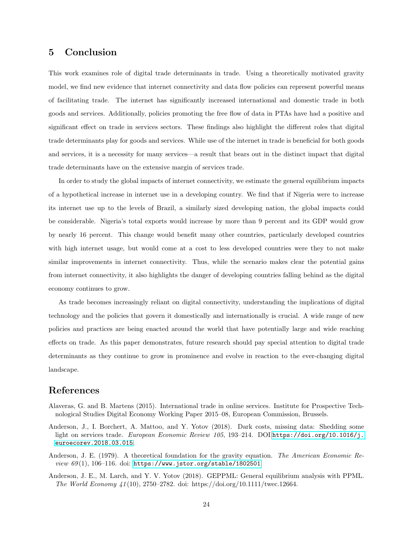## 5 Conclusion

This work examines role of digital trade determinants in trade. Using a theoretically motivated gravity model, we find new evidence that internet connectivity and data flow policies can represent powerful means of facilitating trade. The internet has significantly increased international and domestic trade in both goods and services. Additionally, policies promoting the free flow of data in PTAs have had a positive and significant effect on trade in services sectors. These findings also highlight the different roles that digital trade determinants play for goods and services. While use of the internet in trade is beneficial for both goods and services, it is a necessity for many services—a result that bears out in the distinct impact that digital trade determinants have on the extensive margin of services trade.

In order to study the global impacts of internet connectivity, we estimate the general equilibrium impacts of a hypothetical increase in internet use in a developing country. We find that if Nigeria were to increase its internet use up to the levels of Brazil, a similarly sized developing nation, the global impacts could be considerable. Nigeria's total exports would increase by more than 9 percent and its GDP would grow by nearly 16 percent. This change would benefit many other countries, particularly developed countries with high internet usage, but would come at a cost to less developed countries were they to not make similar improvements in internet connectivity. Thus, while the scenario makes clear the potential gains from internet connectivity, it also highlights the danger of developing countries falling behind as the digital economy continues to grow.

As trade becomes increasingly reliant on digital connectivity, understanding the implications of digital technology and the policies that govern it domestically and internationally is crucial. A wide range of new policies and practices are being enacted around the world that have potentially large and wide reaching effects on trade. As this paper demonstrates, future research should pay special attention to digital trade determinants as they continue to grow in prominence and evolve in reaction to the ever-changing digital landscape.

## References

- <span id="page-23-0"></span>Alaveras, G. and B. Martens (2015). International trade in online services. Institute for Prospective Technological Studies Digital Economy Working Paper 2015–08, European Commission, Brussels.
- <span id="page-23-1"></span>Anderson, J., I. Borchert, A. Mattoo, and Y. Yotov (2018). Dark costs, missing data: Shedding some light on services trade. European Economic Review 105, 193-214. DOI:[https://doi.org/10.1016/j.](https://doi.org/10.1016/j.euroecorev.2018.03.015) [euroecorev.2018.03.015](https://doi.org/10.1016/j.euroecorev.2018.03.015).
- <span id="page-23-3"></span>Anderson, J. E. (1979). A theoretical foundation for the gravity equation. The American Economic Review  $69(1)$ , 106-116. doi: <https://www.jstor.org/stable/1802501>.
- <span id="page-23-2"></span>Anderson, J. E., M. Larch, and Y. V. Yotov (2018). GEPPML: General equilibrium analysis with PPML. The World Economy  $41(10)$ , 2750–2782. doi: https://doi.org/10.1111/twec.12664.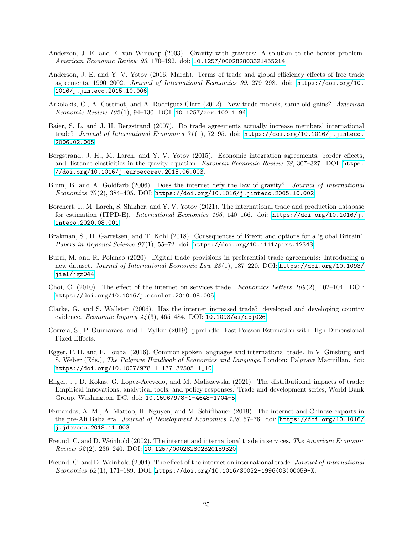- <span id="page-24-10"></span>Anderson, J. E. and E. van Wincoop (2003). Gravity with gravitas: A solution to the border problem. American Economic Review 93, 170–192. doi: <10.1257/000282803321455214>.
- <span id="page-24-6"></span>Anderson, J. E. and Y. V. Yotov (2016, March). Terms of trade and global efficiency effects of free trade agreements, 1990–2002. Journal of International Economics 99, 279–298. doi: [https://doi.org/10.](https://doi.org/10.1016/j.jinteco.2015.10.006) [1016/j.jinteco.2015.10.006](https://doi.org/10.1016/j.jinteco.2015.10.006).
- <span id="page-24-16"></span>Arkolakis, C., A. Costinot, and A. Rodríguez-Clare (2012). New trade models, same old gains? American Economic Review 102 (1), 94–130. DOI: <10.1257/aer.102.1.94>.
- <span id="page-24-11"></span>Baier, S. L. and J. H. Bergstrand (2007). Do trade agreements actually increase members' international trade? Journal of International Economics 71(1), 72-95. doi: [https://doi.org/10.1016/j.jinteco.](https://doi.org/10.1016/j.jinteco.2006.02.005) [2006.02.005](https://doi.org/10.1016/j.jinteco.2006.02.005).
- <span id="page-24-12"></span>Bergstrand, J. H., M. Larch, and Y. V. Yotov (2015). Economic integration agreements, border effects, and distance elasticities in the gravity equation. European Economic Review 78, 307-327. DOI: [https:](https://doi.org/10.1016/j.euroecorev.2015.06.003) [//doi.org/10.1016/j.euroecorev.2015.06.003](https://doi.org/10.1016/j.euroecorev.2015.06.003).
- <span id="page-24-1"></span>Blum, B. and A. Goldfarb (2006). Does the internet defy the law of gravity? Journal of International Economics 70 (2), 384–405. DOI: <https://doi.org/10.1016/j.jinteco.2005.10.002>.
- <span id="page-24-13"></span>Borchert, I., M. Larch, S. Shikher, and Y. V. Yotov (2021). The international trade and production database for estimation (ITPD-E). International Economics 166, 140-166. doi: [https://doi.org/10.1016/j.](https://doi.org/10.1016/j.inteco.2020.08.001) [inteco.2020.08.001](https://doi.org/10.1016/j.inteco.2020.08.001).
- <span id="page-24-7"></span>Brakman, S., H. Garretsen, and T. Kohl (2018). Consequences of Brexit and options for a 'global Britain'. Papers in Regional Science 97(1), 55-72. doi: <https://doi.org/10.1111/pirs.12343>.
- <span id="page-24-9"></span>Burri, M. and R. Polanco (2020). Digital trade provisions in preferential trade agreements: Introducing a new dataset. Journal of International Economic Law 23 (1), 187–220. DOI: [https://doi.org/10.1093/](https://doi.org/10.1093/jiel/jgz044) [jiel/jgz044](https://doi.org/10.1093/jiel/jgz044).
- <span id="page-24-4"></span>Choi, C.  $(2010)$ . The effect of the internet on services trade. *Economics Letters*  $109(2)$ ,  $102-104$ . DOI: <https://doi.org/10.1016/j.econlet.2010.08.005>.
- <span id="page-24-5"></span>Clarke, G. and S. Wallsten (2006). Has the internet increased trade? developed and developing country evidence. *Economic Inquiry 44* (3), 465–484. DOI: <10.1093/ei/cbj026>.
- <span id="page-24-14"></span>Correia, S., P. Guimarães, and T. Zylkin (2019). ppmlhdfe: Fast Poisson Estimation with High-Dimensional Fixed Effects.
- <span id="page-24-8"></span>Egger, P. H. and F. Toubal (2016). Common spoken languages and international trade. In V. Ginsburg and S. Weber (Eds.), The Palgrave Handbook of Economics and Language. London: Palgrave Macmillan. doi: [https://doi.org/10.1007/978-1-137-32505-1\\_10](https://doi.org/10.1007/978-1-137-32505-1_10).
- <span id="page-24-15"></span>Engel, J., D. Kokas, G. Lopez-Acevedo, and M. Maliszewska (2021). The distributional impacts of trade: Empirical innovations, analytical tools, and policy responses. Trade and development series, World Bank Group, Washington, DC. doi: <10.1596/978-1-4648-1704-5>.
- <span id="page-24-0"></span>Fernandes, A. M., A. Mattoo, H. Nguyen, and M. Schiffbauer (2019). The internet and Chinese exports in the pre-Ali Baba era. Journal of Development Economics 138, 57–76. doi: [https://doi.org/10.1016/](https://doi.org/10.1016/j.jdeveco.2018.11.003) [j.jdeveco.2018.11.003](https://doi.org/10.1016/j.jdeveco.2018.11.003).
- <span id="page-24-2"></span>Freund, C. and D. Weinhold (2002). The internet and international trade in services. The American Economic Review 92 (2), 236–240. DOI: <10.1257/000282802320189320>.
- <span id="page-24-3"></span>Freund, C. and D. Weinhold (2004). The effect of the internet on international trade. Journal of International Economics 62(1), 171–189. DOI: [https://doi.org/10.1016/S0022-1996\(03\)00059-X](https://doi.org/10.1016/S0022-1996(03)00059-X).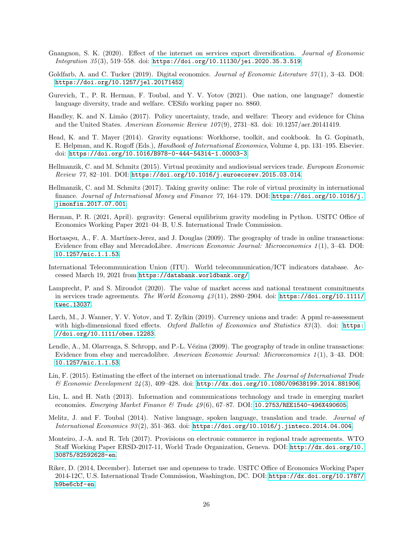- <span id="page-25-2"></span>Gnangnon, S. K. (2020). Effect of the internet on services export diversification. Journal of Economic Integration 35 (3), 519–558. doi: <https://doi.org/10.11130/jei.2020.35.3.519>.
- <span id="page-25-1"></span>Goldfarb, A. and C. Tucker (2019). Digital economics. Journal of Economic Literature  $57(1)$ , 3–43. DOI: <https://doi.org/10.1257/jel.20171452>.
- <span id="page-25-8"></span>Gurevich, T., P. R. Herman, F. Toubal, and Y. V. Yotov (2021). One nation, one language? domestic language diversity, trade and welfare. CESifo working paper no. 8860.
- <span id="page-25-14"></span>Handley, K. and N. Limão (2017). Policy uncertainty, trade, and welfare: Theory and evidence for China and the United States. American Economic Review  $107(9)$ , 2731–83. doi: 10.1257/aer.20141419.
- <span id="page-25-10"></span>Head, K. and T. Mayer (2014). Gravity equations: Workhorse, toolkit, and cookbook. In G. Gopinath, E. Helpman, and K. Rogoff (Eds.), *Handbook of International Economics*, Volume 4, pp. 131–195. Elsevier. doi: <https://doi.org/10.1016/B978-0-444-54314-1.00003-3>.
- <span id="page-25-11"></span>Hellmanzik, C. and M. Schmitz (2015). Virtual proximity and audiovisual services trade. European Economic Review 77, 82–101. DOI: <https://doi.org/10.1016/j.euroecorev.2015.03.014>.
- <span id="page-25-12"></span>Hellmanzik, C. and M. Schmitz (2017). Taking gravity online: The role of virtual proximity in international finance. Journal of International Money and Finance 77, 164–179. DOI: [https://doi.org/10.1016/j.](https://doi.org/10.1016/j.jimonfin.2017.07.001) [jimonfin.2017.07.001](https://doi.org/10.1016/j.jimonfin.2017.07.001).
- <span id="page-25-16"></span>Herman, P. R. (2021, April). gegravity: General equilibrium gravity modeling in Python. USITC Office of Economics Working Paper 2021–04–B, U.S. International Trade Commission.
- <span id="page-25-3"></span>Hortasçsu, A., F. A. Martínex-Jerez, and J. Douglas (2009). The geography of trade in online transactions: Evidence from eBay and MercadoLibre. American Economic Journal: Microeconomics 1(1), 3-43. DOI: <10.1257/mic.1.1.53>.
- International Telecommunication Union (ITU). World telecommunication/ICT indicators database. Accessed March 19, 2021 from <https://databank.worldbank.org/>.
- <span id="page-25-15"></span>Lamprecht, P. and S. Miroudot (2020). The value of market access and national treatment commitments in services trade agreements. The World Economy  $43(11)$ , 2880–2904. doi: [https://doi.org/10.1111/](https://doi.org/10.1111/twec.13037) [twec.13037](https://doi.org/10.1111/twec.13037).
- <span id="page-25-13"></span>Larch, M., J. Wanner, Y. V. Yotov, and T. Zylkin (2019). Currency unions and trade: A ppml re-assessment with high-dimensional fixed effects. Oxford Bulletin of Economics and Statistics  $83(3)$ . doi: [https:]( https://doi.org/10.1111/obes.12283) [//doi.org/10.1111/obes.12283]( https://doi.org/10.1111/obes.12283).
- <span id="page-25-4"></span>Lendle, A., M. Olarreaga, S. Schropp, and P.-L. Vézina (2009). The geography of trade in online transactions: Evidence from ebay and mercadolibre. American Economic Journal: Microeconomics 1 (1), 3–43. DOI: <10.1257/mic.1.1.53>.
- <span id="page-25-6"></span>Lin, F. (2015). Estimating the effect of the internet on international trade. The Journal of International Trade & Economic Development 24 (3), 409–428. doi: <http://dx.doi.org/10.1080/09638199.2014.881906>.
- <span id="page-25-5"></span>Liu, L. and H. Nath (2013). Information and communications technology and trade in emerging market economies. Emerging Market Finance & Trade  $49(6)$ , 67-87. DOI: <10.2753/REE1540-496X490605>.
- <span id="page-25-9"></span>Melitz, J. and F. Toubal (2014). Native language, spoken language, translation and trade. Journal of International Economics 93 (2), 351–363. doi: <https://doi.org/10.1016/j.jinteco.2014.04.004>.
- <span id="page-25-0"></span>Monteiro, J.-A. and R. Teh (2017). Provisions on electronic commerce in regional trade agreements. WTO Staff Working Paper ERSD-2017-11, World Trade Organization, Geneva. DOI: [http://dx.doi.org/10.](http://dx.doi.org/10.30875/82592628-en) [30875/82592628-en](http://dx.doi.org/10.30875/82592628-en).
- <span id="page-25-7"></span>Riker, D. (2014, December). Internet use and openness to trade. USITC Office of Economics Working Paper 2014-12C, U.S. International Trade Commission, Washington, DC. DOI: [https://dx.doi.org/10.1787/](https://dx.doi.org/10.1787/b9be6cbf-en) [b9be6cbf-en](https://dx.doi.org/10.1787/b9be6cbf-en).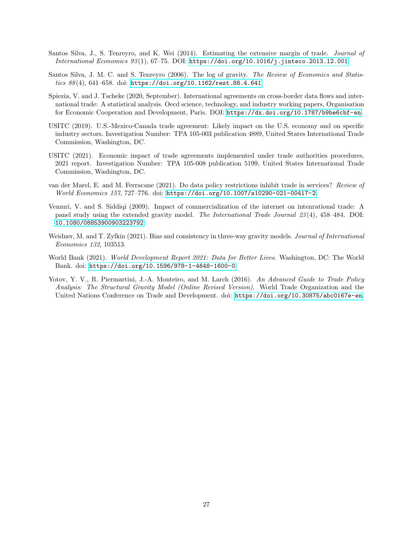- <span id="page-26-8"></span>Santos Silva, J., S. Tenreyro, and K. Wei (2014). Estimating the extensive margin of trade. Journal of International Economics 93 (1), 67–75. DOI: <https://doi.org/10.1016/j.jinteco.2013.12.001>.
- <span id="page-26-6"></span>Santos Silva, J. M. C. and S. Tenreyro (2006). The log of gravity. The Review of Economics and Statistics 88 (4), 641–658. doi: <https://doi.org/10.1162/rest.88.4.641>.
- <span id="page-26-2"></span>Spiezia, V. and J. Tscheke (2020, September). International agreements on cross-border data flows and international trade: A statistical analysis. Oecd science, technology, and industry working papers, Organisation for Economic Cooperation and Development, Paris. DOI: <https://dx.doi.org/10.1787/b9be6cbf-en>.
- <span id="page-26-0"></span>USITC (2019). U.S.-Mexico-Canada trade agreement: Likely impact on the U.S. economy and on specific industry sectors. Investigation Number: TPA 105-003 publication 4889, United States International Trade Commission, Washington, DC.
- <span id="page-26-4"></span>USITC (2021). Economic impact of trade agreements implemented under trade authorities procedures, 2021 report. Investigation Number: TPA 105-008 publication 5199, United States International Trade Commission, Washington, DC.
- <span id="page-26-3"></span>van der Marel, E. and M. Ferracane (2021). Do data policy restrictions inhibit trade in services? Review of World Economics 157, 727–776. doi: <https://doi.org/10.1007/s10290-021-00417-2>.
- <span id="page-26-1"></span>Vemuri, V. and S. Siddiqi (2009). Impact of commercialization of the internet on intenrational trade: A panel study using the extended gravity model. The International Trade Journal 23(4), 458–484. DOI: <10.1080/08853900903223792>.
- <span id="page-26-7"></span>Weidner, M. and T. Zylkin (2021). Bias and consistency in three-way gravity models. Journal of International Economics 132, 103513.
- <span id="page-26-9"></span>World Bank (2021). World Development Report 2021: Data for Better Lives. Washington, DC: The World Bank. doi: <https://doi.org/10.1596/978-1-4648-1600-0>.
- <span id="page-26-5"></span>Yotov, Y. V., R. Piermartini, J.-A. Monteiro, and M. Larch (2016). An Advanced Guide to Trade Policy Analysis: The Structural Gravity Model (Online Revised Version). World Trade Organization and the United Nations Conference on Trade and Development. doi: <https://doi.org/10.30875/abc0167e-en>.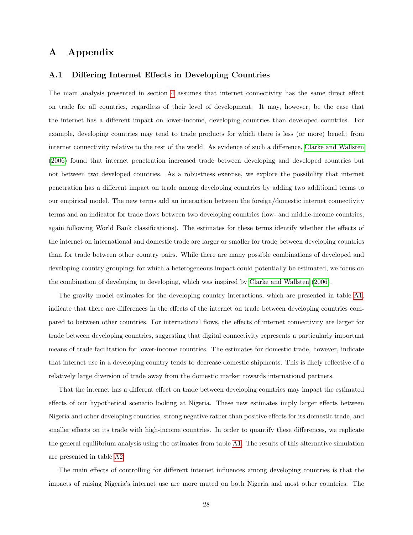## A Appendix

#### A.1 Differing Internet Effects in Developing Countries

The main analysis presented in section [4](#page-16-0) assumes that internet connectivity has the same direct effect on trade for all countries, regardless of their level of development. It may, however, be the case that the internet has a different impact on lower-income, developing countries than developed countries. For example, developing countries may tend to trade products for which there is less (or more) benefit from internet connectivity relative to the rest of the world. As evidence of such a difference, [Clarke and Wallsten](#page-24-5) [\(2006\)](#page-24-5) found that internet penetration increased trade between developing and developed countries but not between two developed countries. As a robustness exercise, we explore the possibility that internet penetration has a different impact on trade among developing countries by adding two additional terms to our empirical model. The new terms add an interaction between the foreign/domestic internet connectivity terms and an indicator for trade flows between two developing countries (low- and middle-income countries, again following World Bank classifications). The estimates for these terms identify whether the effects of the internet on international and domestic trade are larger or smaller for trade between developing countries than for trade between other country pairs. While there are many possible combinations of developed and developing country groupings for which a heterogeneous impact could potentially be estimated, we focus on the combination of developing to developing, which was inspired by [Clarke and Wallsten](#page-24-5) [\(2006\)](#page-24-5).

The gravity model estimates for the developing country interactions, which are presented in table [A1,](#page-10-0) indicate that there are differences in the effects of the internet on trade between developing countries compared to between other countries. For international flows, the effects of internet connectivity are larger for trade between developing countries, suggesting that digital connectivity represents a particularly important means of trade facilitation for lower-income countries. The estimates for domestic trade, however, indicate that internet use in a developing country tends to decrease domestic shipments. This is likely reflective of a relatively large diversion of trade away from the domestic market towards international partners.

That the internet has a different effect on trade between developing countries may impact the estimated effects of our hypothetical scenario looking at Nigeria. These new estimates imply larger effects between Nigeria and other developing countries, strong negative rather than positive effects for its domestic trade, and smaller effects on its trade with high-income countries. In order to quantify these differences, we replicate the general equilibrium analysis using the estimates from table [A1.](#page-10-0) The results of this alternative simulation are presented in table [A2](#page-12-0)

The main effects of controlling for different internet influences among developing countries is that the impacts of raising Nigeria's internet use are more muted on both Nigeria and most other countries. The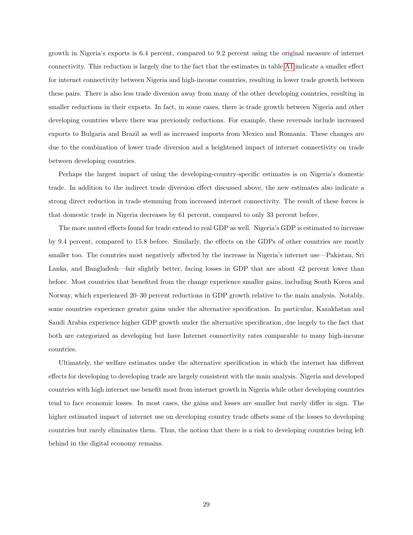growth in Nigeria's exports is 6.4 percent, compared to 9.2 percent using the original measure of internet connectivity. This reduction is largely due to the fact that the estimates in table [A1](#page-10-0) indicate a smaller effect for internet connectivity between Nigeria and high-income countries, resulting in lower trade growth between these pairs. There is also less trade diversion away from many of the other developing countries, resulting in smaller reductions in their exports. In fact, in some cases, there is trade growth between Nigeria and other developing countries where there was previously reductions. For example, these reversals include increased exports to Bulgaria and Brazil as well as increased imports from Mexico and Romania. These changes are due to the combination of lower trade diversion and a heightened impact of internet connectivity on trade between developing countries.

Perhaps the largest impact of using the developing-country-specific estimates is on Nigeria's domestic trade. In addition to the indirect trade diversion effect discussed above, the new estimates also indicate a strong direct reduction in trade stemming from increased internet connectivity. The result of these forces is that domestic trade in Nigeria decreases by 61 percent, compared to only 33 percent before.

The more muted effects found for trade extend to real GDP as well. Nigeria's GDP is estimated to increase by 9.4 percent, compared to 15.8 before. Similarly, the effects on the GDPs of other countries are mostly smaller too. The countries most negatively affected by the increase in Nigeria's internet use—Pakistan, Sri Lanka, and Bangladesh—fair slightly better, facing losses in GDP that are about 42 percent lower than before. Most countries that benefited from the change experience smaller gains, including South Korea and Norway, which experienced 20–30 percent reductions in GDP growth relative to the main analysis. Notably, some countries experience greater gains under the alternative specification. In particular, Kazakhstan and Saudi Arabia experience higher GDP growth under the alternative specification, due largely to the fact that both are categorized as developing but have Internet connectivity rates comparable to many high-income countries.

Ultimately, the welfare estimates under the alternative specification in which the internet has different effects for developing to developing trade are largely consistent with the main analysis. Nigeria and developed countries with high internet use benefit most from internet growth in Nigeria while other developing countries tend to face economic losses. In most cases, the gains and losses are smaller but rarely differ in sign. The higher estimated impact of internet use on developing country trade offsets some of the losses to developing countries but rarely eliminates them. Thus, the notion that there is a risk to developing countries being left behind in the digital economy remains.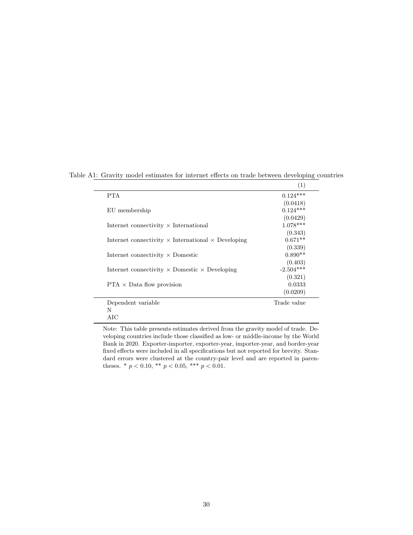|                                                                  | (1)         |
|------------------------------------------------------------------|-------------|
| <b>PTA</b>                                                       | $0.124***$  |
|                                                                  | (0.0418)    |
| EU membership                                                    | $0.124***$  |
|                                                                  | (0.0429)    |
| Internet connectivity $\times$ International                     | $1.078***$  |
|                                                                  | (0.343)     |
| Internet connectivity $\times$ International $\times$ Developing | $0.671**$   |
|                                                                  | (0.339)     |
| Internet connectivity $\times$ Domestic                          | $0.890**$   |
|                                                                  | (0.403)     |
| Internet connectivity $\times$ Domestic $\times$ Developing      | $-2.504***$ |
|                                                                  | (0.321)     |
| $PTA \times Data flow$ provision                                 | 0.0333      |
|                                                                  | (0.0209)    |
| Dependent variable                                               | Trade value |
| N                                                                |             |
| AIC                                                              |             |

Table A1: Gravity model estimates for internet effects on trade between developing countries

Note: This table presents estimates derived from the gravity model of trade. Developing countries include those classified as low- or middle-income by the World Bank in 2020. Exporter-importer, exporter-year, importer-year, and border-year fixed effects were included in all specifications but not reported for brevity. Standard errors were clustered at the country-pair level and are reported in parentheses. \* $p < 0.10,$  \*\* $p < 0.05,$  \*\*\*  $p < 0.01.$